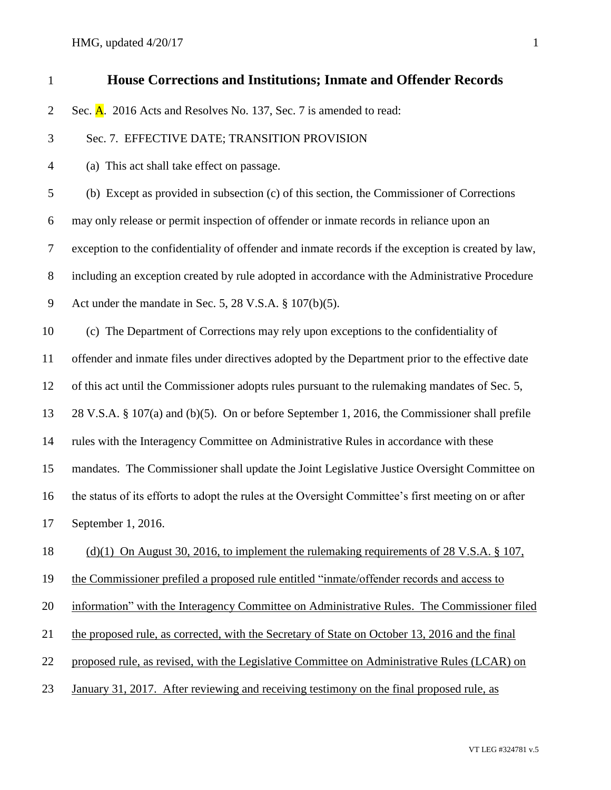HMG, updated  $4/20/17$  1

| $\mathbf{1}$   | <b>House Corrections and Institutions; Inmate and Offender Records</b>                              |
|----------------|-----------------------------------------------------------------------------------------------------|
| $\overline{2}$ | Sec. A. 2016 Acts and Resolves No. 137, Sec. 7 is amended to read:                                  |
| 3              | Sec. 7. EFFECTIVE DATE; TRANSITION PROVISION                                                        |
| $\overline{4}$ | (a) This act shall take effect on passage.                                                          |
| 5              | (b) Except as provided in subsection (c) of this section, the Commissioner of Corrections           |
| 6              | may only release or permit inspection of offender or inmate records in reliance upon an             |
| $\tau$         | exception to the confidentiality of offender and inmate records if the exception is created by law, |
| $8\,$          | including an exception created by rule adopted in accordance with the Administrative Procedure      |
| 9              | Act under the mandate in Sec. 5, 28 V.S.A. $\S 107(b)(5)$ .                                         |
| 10             | (c) The Department of Corrections may rely upon exceptions to the confidentiality of                |
| 11             | offender and inmate files under directives adopted by the Department prior to the effective date    |
| 12             | of this act until the Commissioner adopts rules pursuant to the rulemaking mandates of Sec. 5,      |
| 13             | 28 V.S.A. § 107(a) and (b)(5). On or before September 1, 2016, the Commissioner shall prefile       |
| 14             | rules with the Interagency Committee on Administrative Rules in accordance with these               |
| 15             | mandates. The Commissioner shall update the Joint Legislative Justice Oversight Committee on        |
| 16             | the status of its efforts to adopt the rules at the Oversight Committee's first meeting on or after |
| $17\,$         | September 1, 2016.                                                                                  |
| 18             | (d)(1) On August 30, 2016, to implement the rulemaking requirements of 28 V.S.A. $\S$ 107,          |
| 19             | the Commissioner prefiled a proposed rule entitled "inmate/offender records and access to           |
| 20             | information" with the Interagency Committee on Administrative Rules. The Commissioner filed         |
| 21             | the proposed rule, as corrected, with the Secretary of State on October 13, 2016 and the final      |
| 22             | proposed rule, as revised, with the Legislative Committee on Administrative Rules (LCAR) on         |
| 23             | January 31, 2017. After reviewing and receiving testimony on the final proposed rule, as            |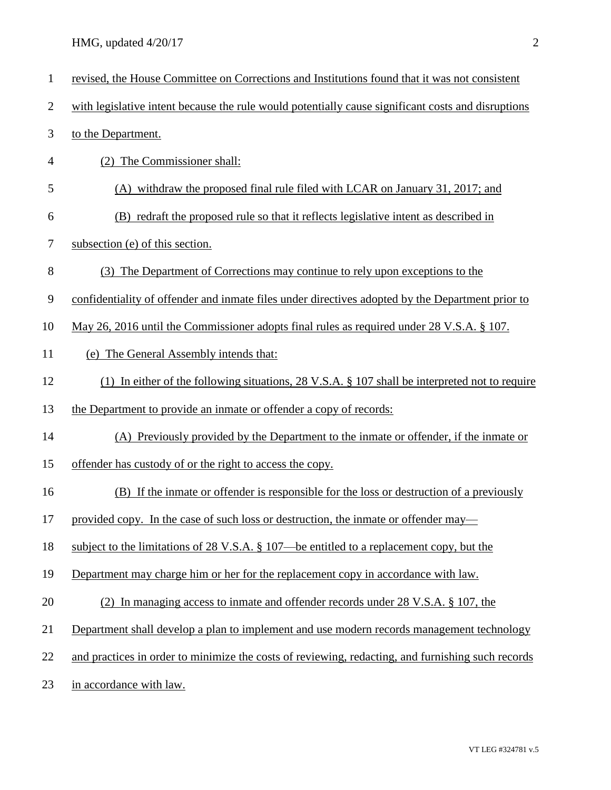HMG, updated 4/20/17 2

| $\mathbf{1}$   | revised, the House Committee on Corrections and Institutions found that it was not consistent            |
|----------------|----------------------------------------------------------------------------------------------------------|
| $\overline{2}$ | with legislative intent because the rule would potentially cause significant costs and disruptions       |
| 3              | to the Department.                                                                                       |
| 4              | (2) The Commissioner shall:                                                                              |
| 5              | (A) withdraw the proposed final rule filed with LCAR on January 31, 2017; and                            |
| 6              | (B) redraft the proposed rule so that it reflects legislative intent as described in                     |
| 7              | subsection (e) of this section.                                                                          |
| 8              | (3) The Department of Corrections may continue to rely upon exceptions to the                            |
| 9              | confidentiality of offender and inmate files under directives adopted by the Department prior to         |
| 10             | May 26, 2016 until the Commissioner adopts final rules as required under 28 V.S.A. § 107.                |
| 11             | (e) The General Assembly intends that:                                                                   |
| 12             | (1) In either of the following situations, $28 \text{ V.S.A.}$ \$107 shall be interpreted not to require |
| 13             | the Department to provide an inmate or offender a copy of records:                                       |
| 14             | (A) Previously provided by the Department to the inmate or offender, if the inmate or                    |
| 15             | offender has custody of or the right to access the copy.                                                 |
| 16             | (B) If the inmate or offender is responsible for the loss or destruction of a previously                 |
| 17             | provided copy. In the case of such loss or destruction, the inmate or offender may—                      |
| 18             | subject to the limitations of 28 V.S.A. § 107—be entitled to a replacement copy, but the                 |
| 19             | Department may charge him or her for the replacement copy in accordance with law.                        |
| 20             | (2) In managing access to inmate and offender records under 28 V.S.A. § 107, the                         |
| 21             | Department shall develop a plan to implement and use modern records management technology                |
| 22             | and practices in order to minimize the costs of reviewing, redacting, and furnishing such records        |
| 23             | in accordance with law.                                                                                  |